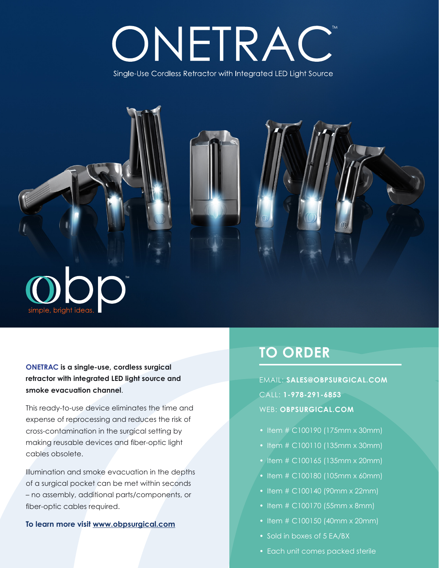# ONETRAC

Single-Use Cordless Retractor with Integrated LED Light Source



**ONETRAC is a single-use, cordless surgical retractor with integrated LED light source and smoke evacuation channel**.

This ready-to-use device eliminates the time and expense of reprocessing and reduces the risk of cross-contamination in the surgical setting by making reusable devices and fiber-optic light cables obsolete.

Illumination and smoke evacuation in the depths of a surgical pocket can be met within seconds – no assembly, additional parts/components, or fiber-optic cables required.

#### **To learn more visit www.obpsurgical.com**

## **TO ORDER**

EMAIL: **SALES@OBPSURGICAL.COM** CALL: **1-978-291-6853** WEB: **OBPSURGICAL.COM**

- Item # C100190 (175mm x 30mm)
- Item # C100110 (135mm x 30mm)
- Item # C100165 (135mm x 20mm)
- Item # C100180 (105mm x 60mm)
- Item # C100140 (90mm x 22mm)
- Item # C100170 (55mm x 8mm)
- Item # C100150 (40mm x 20mm)
- Sold in boxes of 5 EA/BX
- Each unit comes packed sterile